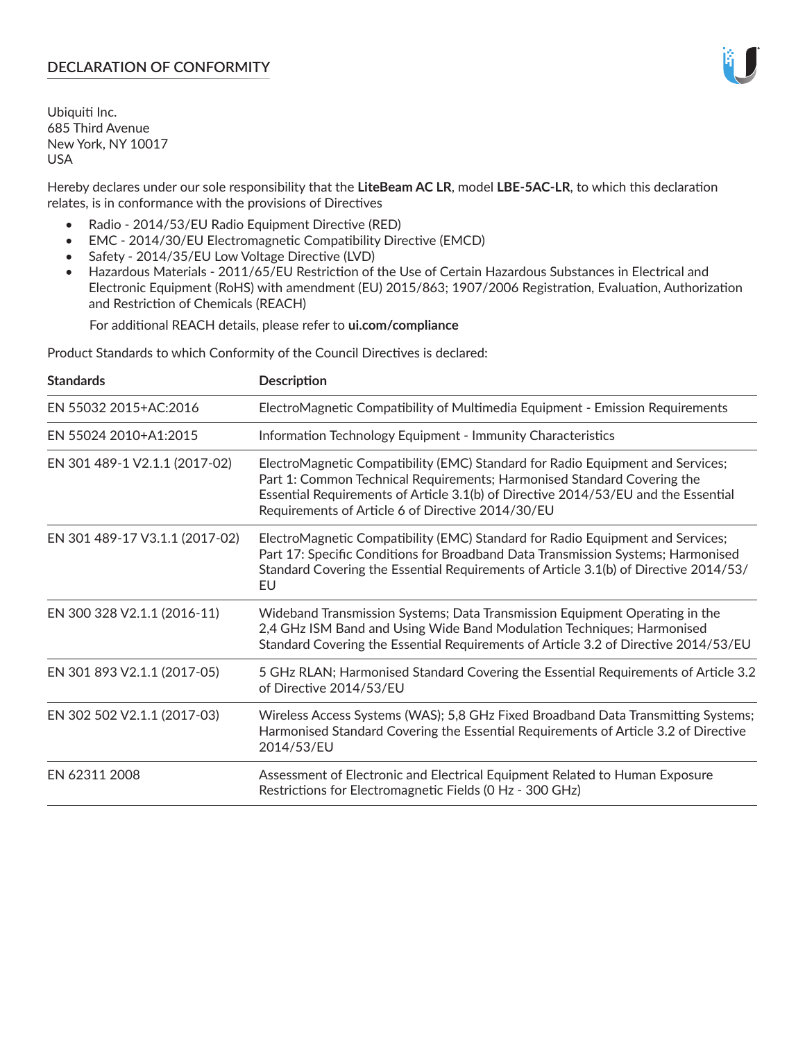Ubiquiti Inc. 685 Third Avenue New York, NY 10017 USA

Hereby declares under our sole responsibility that the **LiteBeam AC LR**, model **LBE-5AC-LR**, to which this declaration relates, is in conformance with the provisions of Directives

- Radio 2014/53/EU Radio Equipment Directive (RED)
- EMC 2014/30/EU Electromagnetic Compatibility Directive (EMCD)
- Safety 2014/35/EU Low Voltage Directive (LVD)
- Hazardous Materials 2011/65/EU Restriction of the Use of Certain Hazardous Substances in Electrical and Electronic Equipment (RoHS) with amendment (EU) 2015/863; 1907/2006 Registration, Evaluation, Authorization and Restriction of Chemicals (REACH)

For additional REACH details, please refer to **ui.com/compliance**

Product Standards to which Conformity of the Council Directives is declared:

| <b>Standards</b>               | <b>Description</b>                                                                                                                                                                                                                                                                                   |
|--------------------------------|------------------------------------------------------------------------------------------------------------------------------------------------------------------------------------------------------------------------------------------------------------------------------------------------------|
| EN 55032 2015+AC:2016          | ElectroMagnetic Compatibility of Multimedia Equipment - Emission Requirements                                                                                                                                                                                                                        |
| EN 55024 2010+A1:2015          | Information Technology Equipment - Immunity Characteristics                                                                                                                                                                                                                                          |
| EN 301 489-1 V2.1.1 (2017-02)  | ElectroMagnetic Compatibility (EMC) Standard for Radio Equipment and Services;<br>Part 1: Common Technical Requirements; Harmonised Standard Covering the<br>Essential Requirements of Article 3.1(b) of Directive 2014/53/EU and the Essential<br>Requirements of Article 6 of Directive 2014/30/EU |
| EN 301 489-17 V3.1.1 (2017-02) | ElectroMagnetic Compatibility (EMC) Standard for Radio Equipment and Services;<br>Part 17: Specific Conditions for Broadband Data Transmission Systems; Harmonised<br>Standard Covering the Essential Requirements of Article 3.1(b) of Directive 2014/53/<br>EU                                     |
| EN 300 328 V2.1.1 (2016-11)    | Wideband Transmission Systems; Data Transmission Equipment Operating in the<br>2,4 GHz ISM Band and Using Wide Band Modulation Techniques; Harmonised<br>Standard Covering the Essential Requirements of Article 3.2 of Directive 2014/53/EU                                                         |
| EN 301 893 V2.1.1 (2017-05)    | 5 GHz RLAN; Harmonised Standard Covering the Essential Requirements of Article 3.2<br>of Directive 2014/53/EU                                                                                                                                                                                        |
| EN 302 502 V2.1.1 (2017-03)    | Wireless Access Systems (WAS); 5,8 GHz Fixed Broadband Data Transmitting Systems;<br>Harmonised Standard Covering the Essential Requirements of Article 3.2 of Directive<br>2014/53/EU                                                                                                               |
| EN 62311 2008                  | Assessment of Electronic and Electrical Equipment Related to Human Exposure<br>Restrictions for Electromagnetic Fields (0 Hz - 300 GHz)                                                                                                                                                              |

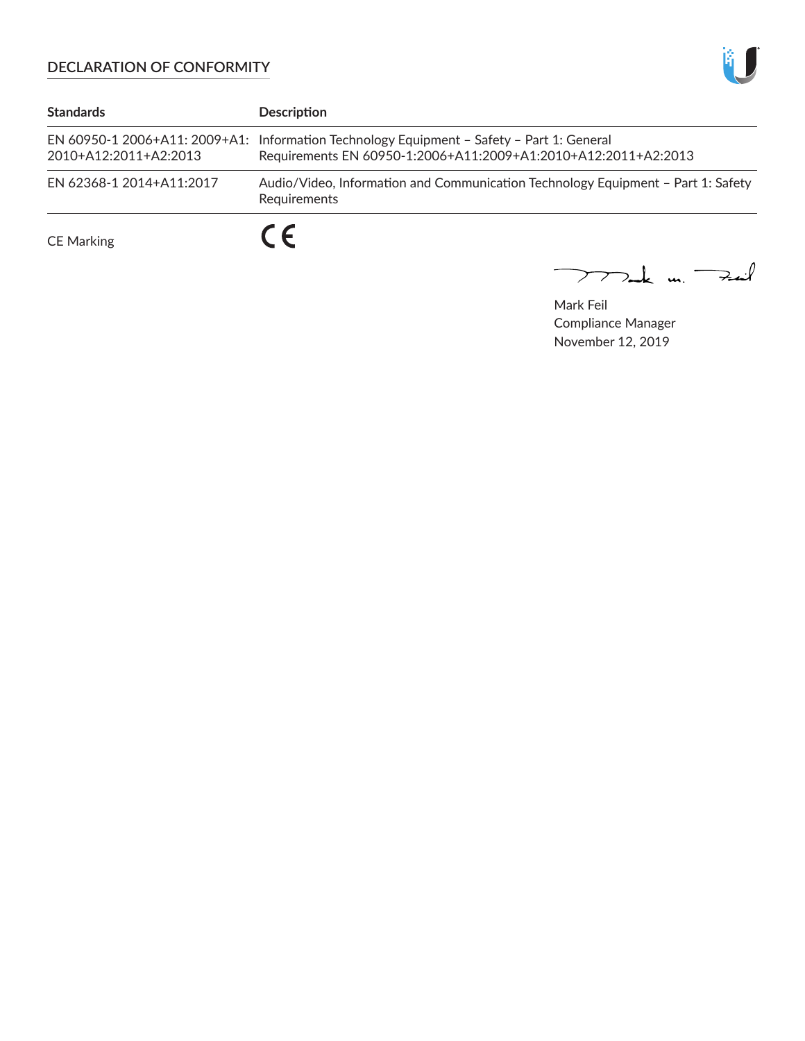

| <b>Standards</b>         | <b>Description</b>                                                                                                                                          |
|--------------------------|-------------------------------------------------------------------------------------------------------------------------------------------------------------|
| 2010+A12:2011+A2:2013    | EN 60950-1 2006+A11: 2009+A1: Information Technology Equipment - Safety - Part 1: General<br>Requirements EN 60950-1:2006+A11:2009+A1:2010+A12:2011+A2:2013 |
| EN 62368-1 2014+A11:2017 | Audio/Video, Information and Communication Technology Equipment - Part 1: Safety<br>Requirements                                                            |
| <b>CE Marking</b>        |                                                                                                                                                             |

mak m. Fail

Mark Feil Compliance Manager November 12, 2019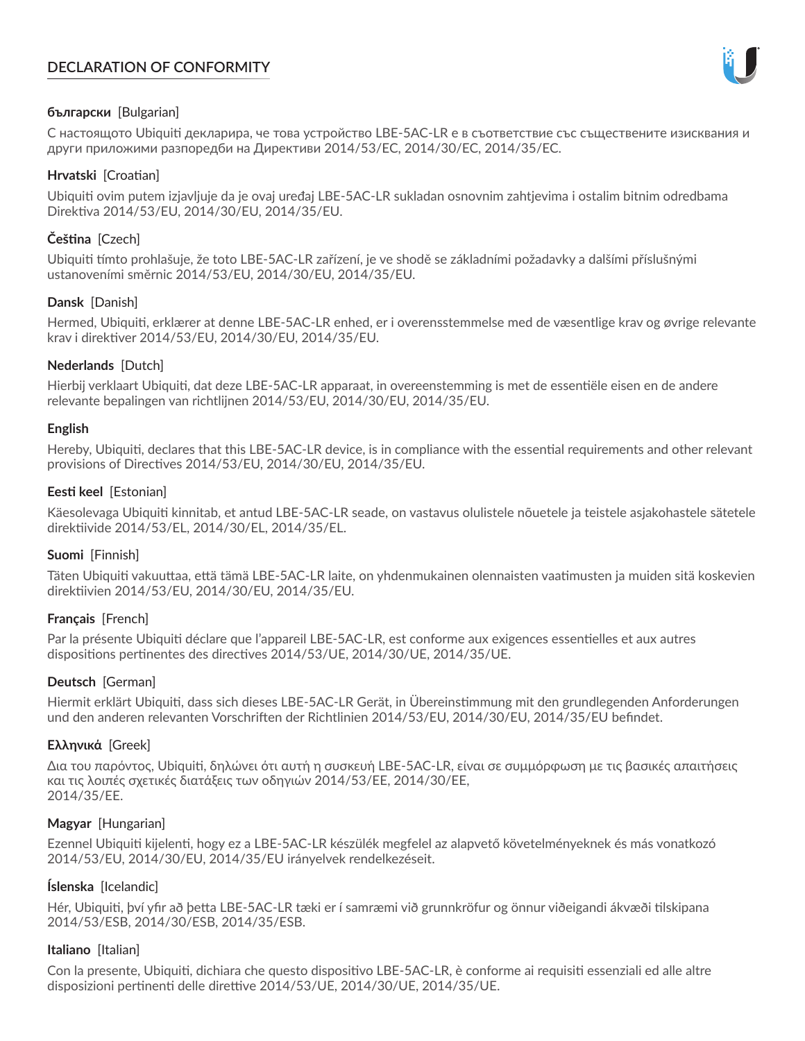

## **български** [Bulgarian]

С настоящото Ubiquiti декларира, че това устройство LBE-5AC-LR е в съответствие със съществените изисквания и други приложими разпоредби на Директиви 2014/53/EC, 2014/30/ЕС, 2014/35/ЕС.

## **Hrvatski** [Croatian]

Ubiquiti ovim putem izjavljuje da je ovaj uređaj LBE-5AC-LR sukladan osnovnim zahtjevima i ostalim bitnim odredbama Direktiva 2014/53/EU, 2014/30/EU, 2014/35/EU.

## **Čeština** [Czech]

Ubiquiti tímto prohlašuje, že toto LBE-5AC-LR zařízení, je ve shodě se základními požadavky a dalšími příslušnými ustanoveními směrnic 2014/53/EU, 2014/30/EU, 2014/35/EU.

## **Dansk** [Danish]

Hermed, Ubiquiti, erklærer at denne LBE-5AC-LR enhed, er i overensstemmelse med de væsentlige krav og øvrige relevante krav i direktiver 2014/53/EU, 2014/30/EU, 2014/35/EU.

## **Nederlands** [Dutch]

Hierbij verklaart Ubiquiti, dat deze LBE-5AC-LR apparaat, in overeenstemming is met de essentiële eisen en de andere relevante bepalingen van richtlijnen 2014/53/EU, 2014/30/EU, 2014/35/EU.

### **English**

Hereby, Ubiquiti, declares that this LBE-5AC-LR device, is in compliance with the essential requirements and other relevant provisions of Directives 2014/53/EU, 2014/30/EU, 2014/35/EU.

## **Eesti keel** [Estonian]

Käesolevaga Ubiquiti kinnitab, et antud LBE-5AC-LR seade, on vastavus olulistele nõuetele ja teistele asjakohastele sätetele direktiivide 2014/53/EL, 2014/30/EL, 2014/35/EL.

### **Suomi** [Finnish]

Täten Ubiquiti vakuuttaa, että tämä LBE-5AC-LR laite, on yhdenmukainen olennaisten vaatimusten ja muiden sitä koskevien direktiivien 2014/53/EU, 2014/30/EU, 2014/35/EU.

### **Français** [French]

Par la présente Ubiquiti déclare que l'appareil LBE-5AC-LR, est conforme aux exigences essentielles et aux autres dispositions pertinentes des directives 2014/53/UE, 2014/30/UE, 2014/35/UE.

### **Deutsch** [German]

Hiermit erklärt Ubiquiti, dass sich dieses LBE-5AC-LR Gerät, in Übereinstimmung mit den grundlegenden Anforderungen und den anderen relevanten Vorschriften der Richtlinien 2014/53/EU, 2014/30/EU, 2014/35/EU befindet.

### **Ελληνικά** [Greek]

Δια του παρόντος, Ubiquiti, δηλώνει ότι αυτή η συσκευή LBE-5AC-LR, είναι σε συμμόρφωση με τις βασικές απαιτήσεις και τις λοιπές σχετικές διατάξεις των οδηγιών 2014/53/EE, 2014/30/EE, 2014/35/EE.

### **Magyar** [Hungarian]

Ezennel Ubiquiti kijelenti, hogy ez a LBE-5AC-LR készülék megfelel az alapvető követelményeknek és más vonatkozó 2014/53/EU, 2014/30/EU, 2014/35/EU irányelvek rendelkezéseit.

### **Íslenska** [Icelandic]

Hér, Ubiquiti, því yfir að þetta LBE-5AC-LR tæki er í samræmi við grunnkröfur og önnur viðeigandi ákvæði tilskipana 2014/53/ESB, 2014/30/ESB, 2014/35/ESB.

### **Italiano** [Italian]

Con la presente, Ubiquiti, dichiara che questo dispositivo LBE-5AC-LR, è conforme ai requisiti essenziali ed alle altre disposizioni pertinenti delle direttive 2014/53/UE, 2014/30/UE, 2014/35/UE.